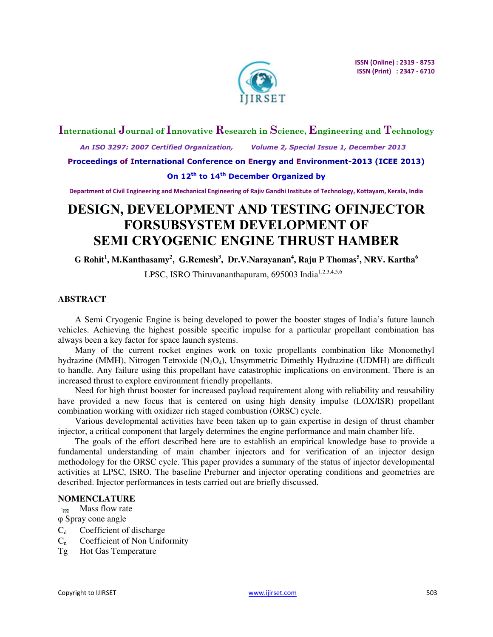

# **International Journal of Innovative Research in Science, Engineering and Technology**

 *An ISO 3297: 2007 Certified Organization, Volume 2, Special Issue 1, December 2013* 

**Proceedings of International Conference on Energy and Environment-2013 (ICEE 2013)** 

# **On 12th to 14th December Organized by**

**Department of Civil Engineering and Mechanical Engineering of Rajiv Gandhi Institute of Technology, Kottayam, Kerala, India** 

# **DESIGN, DEVELOPMENT AND TESTING OFINJECTOR FORSUBSYSTEM DEVELOPMENT OF SEMI CRYOGENIC ENGINE THRUST HAMBER**

**G Rohit<sup>1</sup> , M.Kanthasamy<sup>2</sup> , G.Remesh<sup>3</sup> , Dr.V.Narayanan<sup>4</sup> , Raju P Thomas<sup>5</sup> , NRV. Kartha<sup>6</sup>**

LPSC, ISRO Thiruvananthapuram, 695003 India<sup>1,2,3,4,5,6</sup>

# **ABSTRACT**

A Semi Cryogenic Engine is being developed to power the booster stages of India's future launch vehicles. Achieving the highest possible specific impulse for a particular propellant combination has always been a key factor for space launch systems.

Many of the current rocket engines work on toxic propellants combination like Monomethyl hydrazine (MMH), Nitrogen Tetroxide (N<sub>2</sub>O<sub>4</sub>), Unsymmetric Dimethly Hydrazine (UDMH) are difficult to handle. Any failure using this propellant have catastrophic implications on environment. There is an increased thrust to explore environment friendly propellants.

Need for high thrust booster for increased payload requirement along with reliability and reusability have provided a new focus that is centered on using high density impulse (LOX/ISR) propellant combination working with oxidizer rich staged combustion (ORSC) cycle.

Various developmental activities have been taken up to gain expertise in design of thrust chamber injector, a critical component that largely determines the engine performance and main chamber life.

The goals of the effort described here are to establish an empirical knowledge base to provide a fundamental understanding of main chamber injectors and for verification of an injector design methodology for the ORSC cycle. This paper provides a summary of the status of injector developmental activities at LPSC, ISRO. The baseline Preburner and injector operating conditions and geometries are described. Injector performances in tests carried out are briefly discussed.

# **NOMENCLATURE**

Mass flow rate  $\mathbf{m}$ 

φ Spray cone angle

- $C_d$  Coefficient of discharge
- $C_n$  Coefficient of Non Uniformity
- Tg Hot Gas Temperature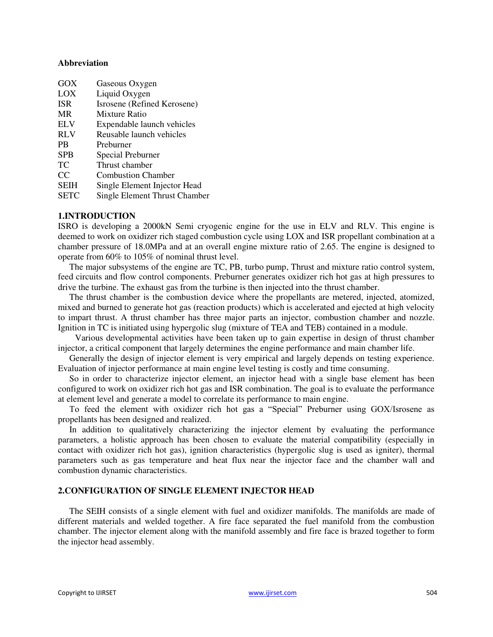## **Abbreviation**

| GOX         | Gaseous Oxygen                |
|-------------|-------------------------------|
| LOX         | Liquid Oxygen                 |
| <b>ISR</b>  | Isrosene (Refined Kerosene)   |
| <b>MR</b>   | Mixture Ratio                 |
| <b>ELV</b>  | Expendable launch vehicles    |
| <b>RLV</b>  | Reusable launch vehicles      |
| <b>PB</b>   | Preburner                     |
| <b>SPB</b>  | Special Preburner             |
| TC          | Thrust chamber                |
| CC          | <b>Combustion Chamber</b>     |
| <b>SEIH</b> | Single Element Injector Head  |
| <b>SETC</b> | Single Element Thrust Chamber |

## **1.INTRODUCTION**

ISRO is developing a 2000kN Semi cryogenic engine for the use in ELV and RLV. This engine is deemed to work on oxidizer rich staged combustion cycle using LOX and ISR propellant combination at a chamber pressure of 18.0MPa and at an overall engine mixture ratio of 2.65. The engine is designed to operate from 60% to 105% of nominal thrust level.

The major subsystems of the engine are TC, PB, turbo pump, Thrust and mixture ratio control system, feed circuits and flow control components. Preburner generates oxidizer rich hot gas at high pressures to drive the turbine. The exhaust gas from the turbine is then injected into the thrust chamber.

The thrust chamber is the combustion device where the propellants are metered, injected, atomized, mixed and burned to generate hot gas (reaction products) which is accelerated and ejected at high velocity to impart thrust. A thrust chamber has three major parts an injector, combustion chamber and nozzle. Ignition in TC is initiated using hypergolic slug (mixture of TEA and TEB) contained in a module.

Various developmental activities have been taken up to gain expertise in design of thrust chamber injector, a critical component that largely determines the engine performance and main chamber life.

Generally the design of injector element is very empirical and largely depends on testing experience. Evaluation of injector performance at main engine level testing is costly and time consuming.

So in order to characterize injector element, an injector head with a single base element has been configured to work on oxidizer rich hot gas and ISR combination. The goal is to evaluate the performance at element level and generate a model to correlate its performance to main engine.

To feed the element with oxidizer rich hot gas a "Special" Preburner using GOX/Isrosene as propellants has been designed and realized.

In addition to qualitatively characterizing the injector element by evaluating the performance parameters, a holistic approach has been chosen to evaluate the material compatibility (especially in contact with oxidizer rich hot gas), ignition characteristics (hypergolic slug is used as igniter), thermal parameters such as gas temperature and heat flux near the injector face and the chamber wall and combustion dynamic characteristics.

# **2.CONFIGURATION OF SINGLE ELEMENT INJECTOR HEAD**

The SEIH consists of a single element with fuel and oxidizer manifolds. The manifolds are made of different materials and welded together. A fire face separated the fuel manifold from the combustion chamber. The injector element along with the manifold assembly and fire face is brazed together to form the injector head assembly.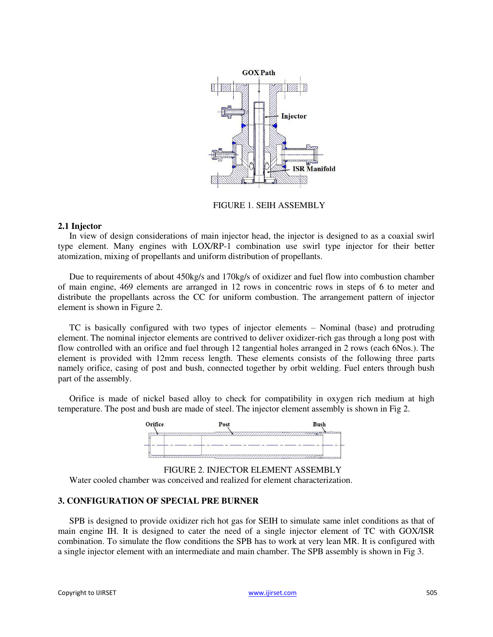

FIGURE 1. SEIH ASSEMBLY

# **2.1 Injector**

In view of design considerations of main injector head, the injector is designed to as a coaxial swirl type element. Many engines with LOX/RP-1 combination use swirl type injector for their better atomization, mixing of propellants and uniform distribution of propellants.

Due to requirements of about 450kg/s and 170kg/s of oxidizer and fuel flow into combustion chamber of main engine, 469 elements are arranged in 12 rows in concentric rows in steps of 6 to meter and distribute the propellants across the CC for uniform combustion. The arrangement pattern of injector element is shown in Figure 2.

TC is basically configured with two types of injector elements – Nominal (base) and protruding element. The nominal injector elements are contrived to deliver oxidizer-rich gas through a long post with flow controlled with an orifice and fuel through 12 tangential holes arranged in 2 rows (each 6Nos.). The element is provided with 12mm recess length. These elements consists of the following three parts namely orifice, casing of post and bush, connected together by orbit welding. Fuel enters through bush part of the assembly.

Orifice is made of nickel based alloy to check for compatibility in oxygen rich medium at high temperature. The post and bush are made of steel. The injector element assembly is shown in Fig 2.



FIGURE 2. INJECTOR ELEMENT ASSEMBLY Water cooled chamber was conceived and realized for element characterization.

# **3. CONFIGURATION OF SPECIAL PRE BURNER**

SPB is designed to provide oxidizer rich hot gas for SEIH to simulate same inlet conditions as that of main engine IH. It is designed to cater the need of a single injector element of TC with GOX/ISR combination. To simulate the flow conditions the SPB has to work at very lean MR. It is configured with a single injector element with an intermediate and main chamber. The SPB assembly is shown in Fig 3.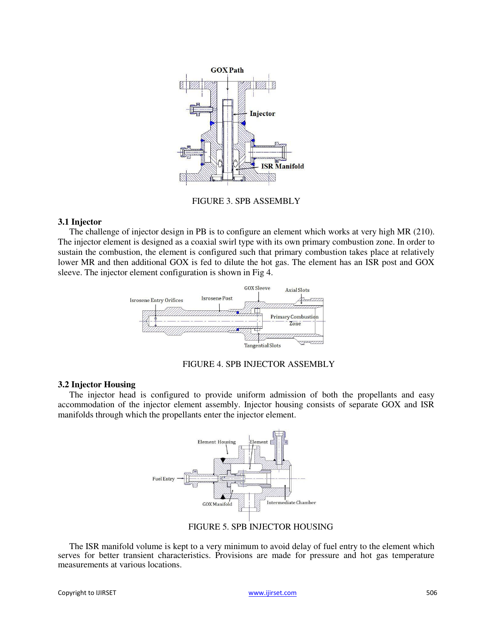

FIGURE 3. SPB ASSEMBLY

# **3.1 Injector**

The challenge of injector design in PB is to configure an element which works at very high MR (210). The injector element is designed as a coaxial swirl type with its own primary combustion zone. In order to sustain the combustion, the element is configured such that primary combustion takes place at relatively lower MR and then additional GOX is fed to dilute the hot gas. The element has an ISR post and GOX sleeve. The injector element configuration is shown in Fig 4.





# **3.2 Injector Housing**

The injector head is configured to provide uniform admission of both the propellants and easy accommodation of the injector element assembly. Injector housing consists of separate GOX and ISR manifolds through which the propellants enter the injector element.



FIGURE 5. SPB INJECTOR HOUSING

The ISR manifold volume is kept to a very minimum to avoid delay of fuel entry to the element which serves for better transient characteristics. Provisions are made for pressure and hot gas temperature measurements at various locations.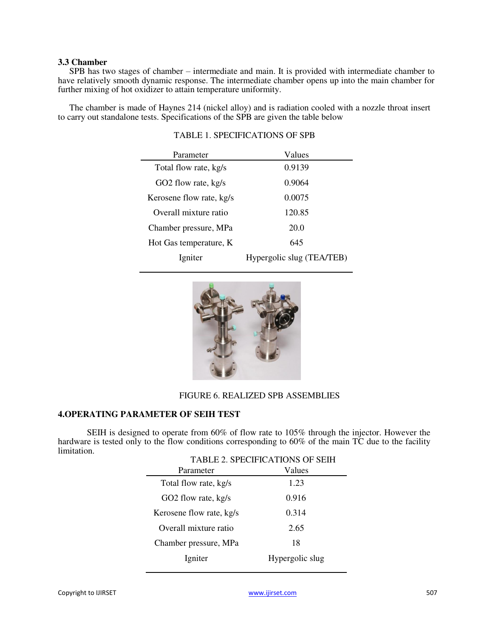## **3.3 Chamber**

SPB has two stages of chamber – intermediate and main. It is provided with intermediate chamber to have relatively smooth dynamic response. The intermediate chamber opens up into the main chamber for further mixing of hot oxidizer to attain temperature uniformity.

The chamber is made of Haynes 214 (nickel alloy) and is radiation cooled with a nozzle throat insert to carry out standalone tests. Specifications of the SPB are given the table below

| Parameter                | Values                    |  |  |
|--------------------------|---------------------------|--|--|
| Total flow rate, kg/s    | 0.9139                    |  |  |
| GO2 flow rate, kg/s      | 0.9064                    |  |  |
| Kerosene flow rate, kg/s | 0.0075                    |  |  |
| Overall mixture ratio    | 120.85                    |  |  |
| Chamber pressure, MPa    | 20.0                      |  |  |
| Hot Gas temperature, K   | 645                       |  |  |
| Igniter                  | Hypergolic slug (TEA/TEB) |  |  |

# TABLE 1. SPECIFICATIONS OF SPB



# FIGURE 6. REALIZED SPB ASSEMBLIES

## **4.OPERATING PARAMETER OF SEIH TEST**

SEIH is designed to operate from 60% of flow rate to 105% through the injector. However the hardware is tested only to the flow conditions corresponding to 60% of the main TC due to the facility limitation.

| <b>TABLE 2. SPECIFICATIONS OF SEIH</b> |  |  |  |  |
|----------------------------------------|--|--|--|--|
| Values                                 |  |  |  |  |
| 1.23                                   |  |  |  |  |
| 0.916                                  |  |  |  |  |
| 0.314                                  |  |  |  |  |
| 2.65                                   |  |  |  |  |
| 18                                     |  |  |  |  |
| Hypergolic slug                        |  |  |  |  |
|                                        |  |  |  |  |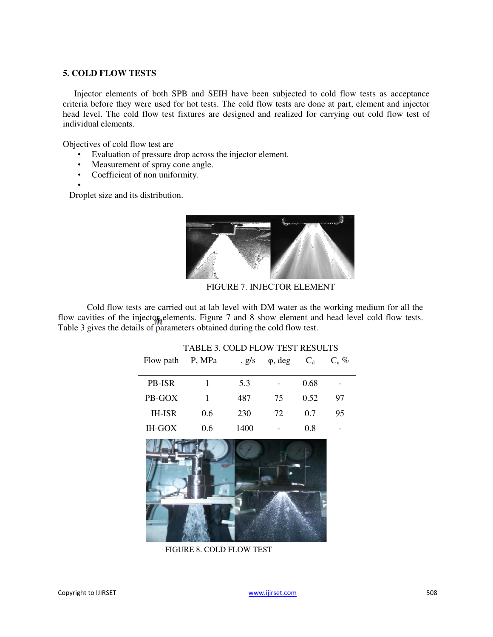# **5. COLD FLOW TESTS**

Injector elements of both SPB and SEIH have been subjected to cold flow tests as acceptance criteria before they were used for hot tests. The cold flow tests are done at part, element and injector head level. The cold flow test fixtures are designed and realized for carrying out cold flow test of individual elements.

Objectives of cold flow test are

- Evaluation of pressure drop across the injector element.
- Measurement of spray cone angle.
- Coefficient of non uniformity.

• Droplet size and its distribution.



FIGURE 7. INJECTOR ELEMENT

TABLE 3. COLD FLOW TEST RESULTS

Cold flow tests are carried out at lab level with DM water as the working medium for all the flow cavities of the injector elements. Figure  $7$  and  $8$  show element and head level cold flow tests. Table 3 gives the details of parameters obtained during the cold flow test.

| Flow path     | P, MPa | , g/s | $\varphi$ , deg | $C_d$ | $C_n$ % |
|---------------|--------|-------|-----------------|-------|---------|
| <b>PB-ISR</b> |        | 5.3   |                 | 0.68  |         |
| PB-GOX        | 1      | 487   | 75              | 0.52  | 97      |
| <b>IH-ISR</b> | 0.6    | 230   | 72              | 0.7   | 95      |
| <b>IH-GOX</b> | 0.6    | 1400  |                 | 0.8   | -       |
|               |        |       |                 |       |         |



FIGURE 8. COLD FLOW TEST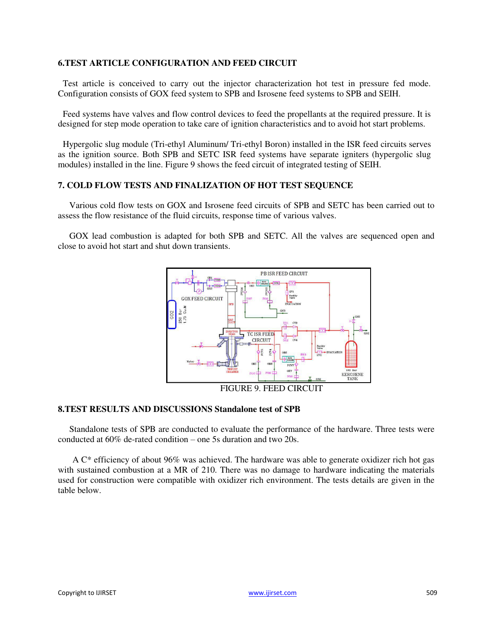# **6.TEST ARTICLE CONFIGURATION AND FEED CIRCUIT**

Test article is conceived to carry out the injector characterization hot test in pressure fed mode. Configuration consists of GOX feed system to SPB and Isrosene feed systems to SPB and SEIH.

Feed systems have valves and flow control devices to feed the propellants at the required pressure. It is designed for step mode operation to take care of ignition characteristics and to avoid hot start problems.

Hypergolic slug module (Tri-ethyl Aluminum/ Tri-ethyl Boron) installed in the ISR feed circuits serves as the ignition source. Both SPB and SETC ISR feed systems have separate igniters (hypergolic slug modules) installed in the line. Figure 9 shows the feed circuit of integrated testing of SEIH.

# **7. COLD FLOW TESTS AND FINALIZATION OF HOT TEST SEQUENCE**

Various cold flow tests on GOX and Isrosene feed circuits of SPB and SETC has been carried out to assess the flow resistance of the fluid circuits, response time of various valves.

GOX lead combustion is adapted for both SPB and SETC. All the valves are sequenced open and close to avoid hot start and shut down transients.



FIGURE 9. FEED CIRCUIT

# **8.TEST RESULTS AND DISCUSSIONS Standalone test of SPB**

Standalone tests of SPB are conducted to evaluate the performance of the hardware. Three tests were conducted at 60% de-rated condition – one 5s duration and two 20s.

A C\* efficiency of about 96% was achieved. The hardware was able to generate oxidizer rich hot gas with sustained combustion at a MR of 210. There was no damage to hardware indicating the materials used for construction were compatible with oxidizer rich environment. The tests details are given in the table below.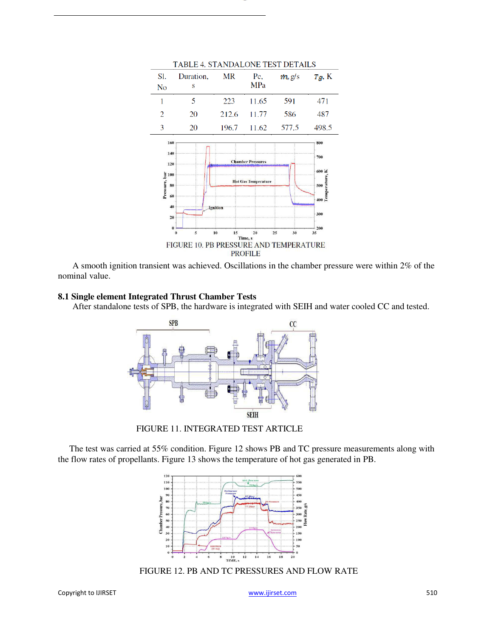

A smooth ignition transient was achieved. Oscillations in the chamber pressure were within 2% of the nominal value.

# **8.1 Single element Integrated Thrust Chamber Tests**

After standalone tests of SPB, the hardware is integrated with SEIH and water cooled CC and tested.



FIGURE 11. INTEGRATED TEST ARTICLE

The test was carried at 55% condition. Figure 12 shows PB and TC pressure measurements along with the flow rates of propellants. Figure 13 shows the temperature of hot gas generated in PB.



FIGURE 12. PB AND TC PRESSURES AND FLOW RATE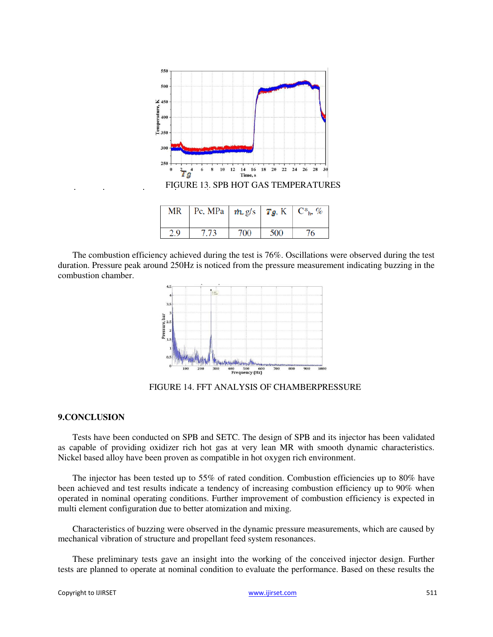

The combustion efficiency achieved during the test is 76%. Oscillations were observed during the test duration. Pressure peak around 250Hz is noticed from the pressure measurement indicating buzzing in the combustion chamber.



FIGURE 14. FFT ANALYSIS OF CHAMBERPRESSURE

# **9.CONCLUSION**

Tests have been conducted on SPB and SETC. The design of SPB and its injector has been validated as capable of providing oxidizer rich hot gas at very lean MR with smooth dynamic characteristics. Nickel based alloy have been proven as compatible in hot oxygen rich environment.

The injector has been tested up to 55% of rated condition. Combustion efficiencies up to 80% have been achieved and test results indicate a tendency of increasing combustion efficiency up to 90% when operated in nominal operating conditions. Further improvement of combustion efficiency is expected in multi element configuration due to better atomization and mixing.

Characteristics of buzzing were observed in the dynamic pressure measurements, which are caused by mechanical vibration of structure and propellant feed system resonances.

These preliminary tests gave an insight into the working of the conceived injector design. Further tests are planned to operate at nominal condition to evaluate the performance. Based on these results the